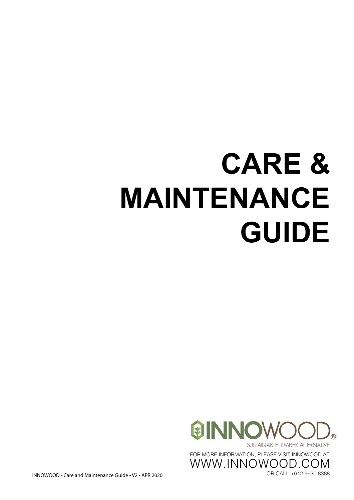# **CARE & MAINTENANCE GUIDE**



INNOWOOD - Care and Maintenance Guide - V2 - APR 2020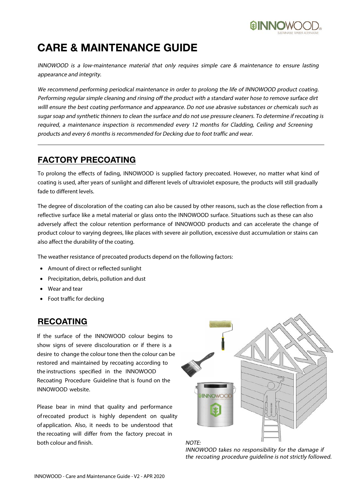

### **CARE & MAINTENANCE GUIDE**

INNOWOOD is a low-maintenance material that only requires simple care & maintenance to ensure lasting appearance and integrity.

We recommend performing periodical maintenance in order to prolong the life of INNOWOOD product coating. Performing regular simple cleaning and rinsing off the product with a standard water hose to remove surface dirt willl ensure the best coating performance and appearance. Do not use abrasive substances or chemicals such as sugar soap and synthetic thinners to clean the surface and do not use pressure cleaners. To determine if recoating is required, a maintenance inspection is recommended every 12 months for Cladding, Ceiling and Screening products and every 6 months is recommended for Decking due to foot traffic and wear.

#### **FACTORY PRECOATING**

To prolong the effects of fading, INNOWOOD is supplied factory precoated. However, no matter what kind of coating is used, after years of sunlight and different levels of ultraviolet exposure, the products will still gradually fade to different levels.

The degree of discoloration of the coating can also be caused by other reasons, such as the close reflection from a reflective surface like a metal material or glass onto the INNOWOOD surface. Situations such as these can also adversely affect the colour retention performance of INNOWOOD products and can accelerate the change of product colour to varying degrees, like places with severe air pollution, excessive dust accumulation or stains can also affect the durability of the coating.

The weather resistance of precoated products depend on the following factors:

- Amount of direct or reflected sunlight
- Precipitation, debris, pollution and dust
- Wear and tear
- Foot traffic for decking

#### **RECOATING**

If the surface of the INNOWOOD colour begins to show signs of severe discolouration or if there is a desire to change the colour tone then the colour can be restored and maintained by recoating according to the instructions specified in the INNOWOOD Recoating Procedure Guideline that is found on the INNOWOOD website.

Please bear in mind that quality and performance of recoated product is highly dependent on quality of application. Also, it needs to be understood that the recoating will differ from the factory precoat in both colour and finish.



INNOWOOD takes no responsibility for the damage if the recoating procedure guideline is not strictly followed.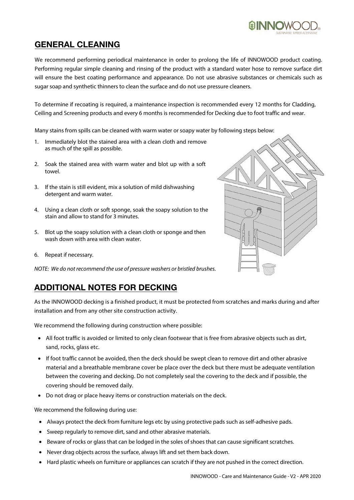INNOWOOD - Care and Maintenance Guide - V2 - APR 2020

## **GENERAL CLEANING**

We recommend performing periodical maintenance in order to prolong the life of INNOWOOD product coating. Performing regular simple cleaning and rinsing of the product with a standard water hose to remove surface dirt will ensure the best coating performance and appearance. Do not use abrasive substances or chemicals such as sugar soap and synthetic thinners to clean the surface and do not use pressure cleaners.

To determine if recoating is required, a maintenance inspection is recommended every 12 months for Cladding, Ceiling and Screening products and every 6 months is recommended for Decking due to foot traffic and wear.

Many stains from spills can be cleaned with warm water or soapy water by following steps below:

- 1. Immediately blot the stained area with a clean cloth and remove as much of the spill as possible.
- 2. Soak the stained area with warm water and blot up with a soft towel.
- 3. If the stain is still evident, mix a solution of mild dishwashing detergent and warm water.
- 4. Using a clean cloth or soft sponge, soak the soapy solution to the stain and allow to stand for 3 minutes.
- 5. Blot up the soapy solution with a clean cloth or sponge and then wash down with area with clean water.
- 6. Repeat if necessary.

NOTE: We do not recommend the use of pressure washers or bristled brushes.

#### **ADDITIONAL NOTES FOR DECKING**

As the INNOWOOD decking is a finished product, it must be protected from scratches and marks during and after installation and from any other site construction activity.

We recommend the following during construction where possible:

- All foot traffic is avoided or limited to only clean footwear that is free from abrasive objects such as dirt, sand, rocks, glass etc.
- If foot traffic cannot be avoided, then the deck should be swept clean to remove dirt and other abrasive material and a breathable membrane cover be place over the deck but there must be adequate ventilation between the covering and decking. Do not completely seal the covering to the deck and if possible, the covering should be removed daily.
- Do not drag or place heavy items or construction materials on the deck.

We recommend the following during use:

- Always protect the deck from furniture legs etc by using protective pads such as self-adhesive pads.
- Sweep regularly to remove dirt, sand and other abrasive materials.
- Beware of rocks or glass that can be lodged in the soles of shoes that can cause significant scratches.
- Never drag objects across the surface, always lift and set them back down.
- Hard plastic wheels on furniture or appliances can scratch if they are not pushed in the correct direction.